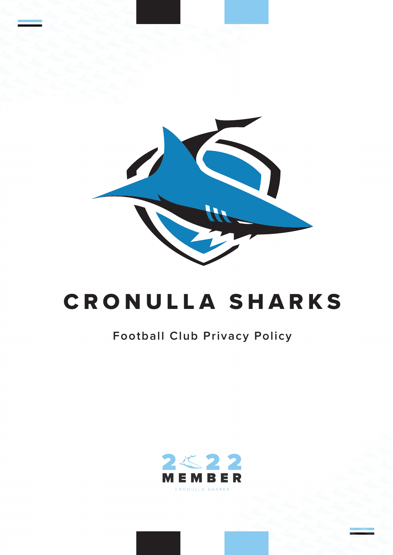

# CRONULLA SHARKS

### **Football Club Privacy Policy**

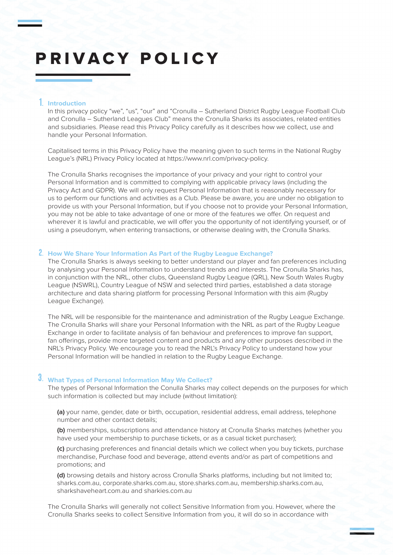## PRIVACY POLICY

#### 1. **Introduction**

In this privacy policy "we", "us", "our" and "Cronulla - Sutherland District Rugby League Football Club and Cronulla – Sutherland Leagues Club" means the Cronulla Sharks its associates, related entities and subsidiaries. Please read this Privacy Policy carefully as it describes how we collect, use and handle your Personal Information.

Capitalised terms in this Privacy Policy have the meaning given to such terms in the National Rugby League's (NRL) Privacy Policy located at https://www.nrl.com/privacy-policy.

The Cronulla Sharks recognises the importance of your privacy and your right to control your Personal Information and is committed to complying with applicable privacy laws (including the Privacy Act and GDPR). We will only request Personal Information that is reasonably necessary for us to perform our functions and activities as a Club. Please be aware, you are under no obligation to provide us with your Personal Information, but if you choose not to provide your Personal Information, you may not be able to take advantage of one or more of the features we offer. On request and wherever it is lawful and practicable, we will offer you the opportunity of not identifying yourself, or of using a pseudonym, when entering transactions, or otherwise dealing with, the Cronulla Sharks.

#### 2. **How We Share Your Information As Part of the Rugby League Exchange?**

The Cronulla Sharks is always seeking to better understand our player and fan preferences including by analysing your Personal Information to understand trends and interests. The Cronulla Sharks has, in conjunction with the NRL, other clubs, Queensland Rugby League (QRL), New South Wales Rugby League (NSWRL), Country League of NSW and selected third parties, established a data storage architecture and data sharing platform for processing Personal Information with this aim (Rugby League Exchange).

The NRL will be responsible for the maintenance and administration of the Rugby League Exchange. The Cronulla Sharks will share your Personal Information with the NRL as part of the Rugby League Exchange in order to facilitate analysis of fan behaviour and preferences to improve fan support, fan offerings, provide more targeted content and products and any other purposes described in the NRL's Privacy Policy. We encourage you to read the NRL's Privacy Policy to understand how your Personal Information will be handled in relation to the Rugby League Exchange.

#### 3. **What Types of Personal Information May We Collect?**

The types of Personal Information the Conulla Sharks may collect depends on the purposes for which such information is collected but may include (without limitation):

**(a)** your name, gender, date or birth, occupation, residential address, email address, telephone number and other contact details;

**(b)** memberships, subscriptions and attendance history at Cronulla Sharks matches (whether you have used your membership to purchase tickets, or as a casual ticket purchaser);

**(c)** purchasing preferences and financial details which we collect when you buy tickets, purchase merchandise, Purchase food and beverage, attend events and/or as part of competitions and promotions; and

**(d)** browsing details and history across Cronulla Sharks platforms, including but not limited to; sharks.com.au, corporate.sharks.com.au, store.sharks.com.au, membership.sharks.com.au, sharkshaveheart.com.au and sharkies.com.au

The Cronulla Sharks will generally not collect Sensitive Information from you. However, where the Cronulla Sharks seeks to collect Sensitive Information from you, it will do so in accordance with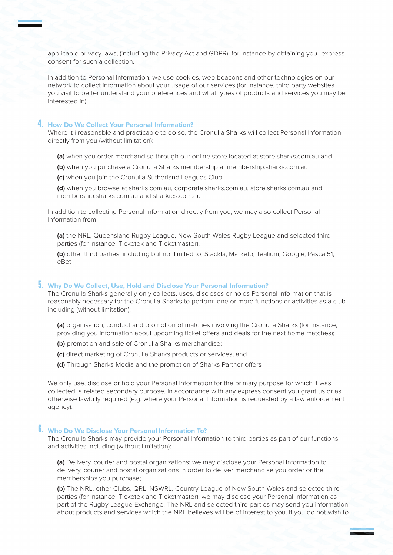applicable privacy laws, (including the Privacy Act and GDPR), for instance by obtaining your express consent for such a collection.

In addition to Personal Information, we use cookies, web beacons and other technologies on our network to collect information about your usage of our services (for instance, third party websites you visit to better understand your preferences and what types of products and services you may be interested in).

#### **How Do We Collect Your Personal Information?** 4.

Where it i reasonable and practicable to do so, the Cronulla Sharks will collect Personal Information directly from you (without limitation):

- **(a)** when you order merchandise through our online store located at store.sharks.com.au and
- **(b)** when you purchase a Cronulla Sharks membership at membership.sharks.com.au
- **(c)** when you join the Cronulla Sutherland Leagues Club

**(d)** when you browse at sharks.com.au, corporate.sharks.com.au, store.sharks.com.au and membership.sharks.com.au and sharkies.com.au

In addition to collecting Personal Information directly from you, we may also collect Personal Information from:

**(a)** the NRL, Queensland Rugby League, New South Wales Rugby League and selected third parties (for instance, Ticketek and Ticketmaster);

**(b)** other third parties, including but not limited to, Stackla, Marketo, Tealium, Google, Pascal51, eBet

#### **Why Do We Collect, Use, Hold and Disclose Your Personal Information?** 5.

The Cronulla Sharks generally only collects, uses, discloses or holds Personal Information that is reasonably necessary for the Cronulla Sharks to perform one or more functions or activities as a club including (without limitation):

**(a)** organisation, conduct and promotion of matches involving the Cronulla Sharks (for instance, providing you information about upcoming ticket offers and deals for the next home matches);

- **(b)** promotion and sale of Cronulla Sharks merchandise;
- **(c)** direct marketing of Cronulla Sharks products or services; and
- **(d)** Through Sharks Media and the promotion of Sharks Partner offers

We only use, disclose or hold your Personal Information for the primary purpose for which it was collected, a related secondary purpose, in accordance with any express consent you grant us or as otherwise lawfully required (e.g. where your Personal Information is requested by a law enforcement agency).

#### **Who Do We Disclose Your Personal Information To?** 6.

The Cronulla Sharks may provide your Personal Information to third parties as part of our functions and activities including (without limitation):

**(a)** Delivery, courier and postal organizations: we may disclose your Personal Information to delivery, courier and postal organizations in order to deliver merchandise you order or the memberships you purchase;

**(b)** The NRL, other Clubs, QRL, NSWRL, Country League of New South Wales and selected third parties (for instance, Ticketek and Ticketmaster): we may disclose your Personal Information as part of the Rugby League Exchange. The NRL and selected third parties may send you information about products and services which the NRL believes will be of interest to you. If you do not wish to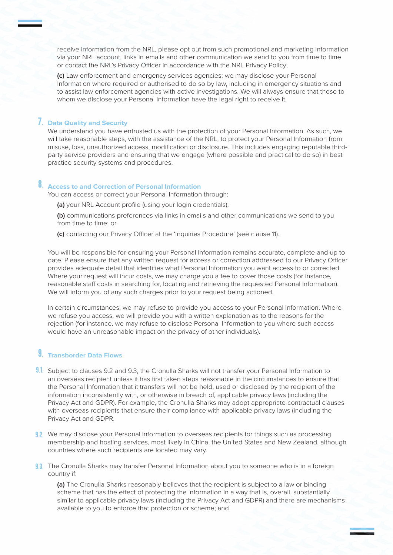receive information from the NRL, please opt out from such promotional and marketing information via your NRL account, links in emails and other communication we send to you from time to time or contact the NRL's Privacy Officer in accordance with the NRL Privacy Policy;

**(c)** Law enforcement and emergency services agencies: we may disclose your Personal Information where required or authorised to do so by law, including in emergency situations and to assist law enforcement agencies with active investigations. We will always ensure that those to whom we disclose your Personal Information have the legal right to receive it.

#### **Data Quality and Security**  7.

We understand you have entrusted us with the protection of your Personal Information. As such, we will take reasonable steps, with the assistance of the NRL, to protect your Personal Information from misuse, loss, unauthorized access, modification or disclosure. This includes engaging reputable thirdparty service providers and ensuring that we engage (where possible and practical to do so) in best practice security systems and procedures.

#### **Access to and Correction of Personal Information**  8.

You can access or correct your Personal Information through:

**(a)** your NRL Account profile (using your login credentials);

**(b)** communications preferences via links in emails and other communications we send to you from time to time; or

**(c)** contacting our Privacy Officer at the 'Inquiries Procedure' (see clause 11).

You will be responsible for ensuring your Personal Information remains accurate, complete and up to date. Please ensure that any written request for access or correction addressed to our Privacy Officer provides adequate detail that identifies what Personal Information you want access to or corrected. Where your request will incur costs, we may charge you a fee to cover those costs (for instance, reasonable staff costs in searching for, locating and retrieving the requested Personal Information). We will inform you of any such charges prior to your request being actioned.

In certain circumstances, we may refuse to provide you access to your Personal Information. Where we refuse you access, we will provide you with a written explanation as to the reasons for the rejection (for instance, we may refuse to disclose Personal Information to you where such access would have an unreasonable impact on the privacy of other individuals).

#### **Transborder Data Flows**  9.

- 9.1. Subject to clauses 9.2 and 9.3, the Cronulla Sharks will not transfer your Personal Information to an overseas recipient unless it has first taken steps reasonable in the circumstances to ensure that the Personal Information that it transfers will not be held, used or disclosed by the recipient of the information inconsistently with, or otherwise in breach of, applicable privacy laws (including the Privacy Act and GDPR). For example, the Cronulla Sharks may adopt appropriate contractual clauses with overseas recipients that ensure their compliance with applicable privacy laws (including the Privacy Act and GDPR.
- 9.2. We may disclose your Personal Information to overseas recipients for things such as processing membership and hosting services, most likely in China, the United States and New Zealand, although countries where such recipients are located may vary.
- 9.3. The Cronulla Sharks may transfer Personal Information about you to someone who is in a foreign country if:

**(a)** The Cronulla Sharks reasonably believes that the recipient is subject to a law or binding scheme that has the effect of protecting the information in a way that is, overall, substantially similar to applicable privacy laws (including the Privacy Act and GDPR) and there are mechanisms available to you to enforce that protection or scheme; and